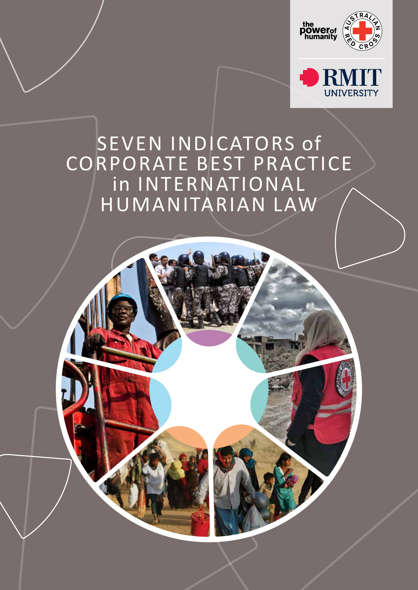

**UNIVERSITY** 

# SEVEN INDICATORS of CORPORATE BEST PRACTICE in INTERNATIONAL HUMANITARIAN LAW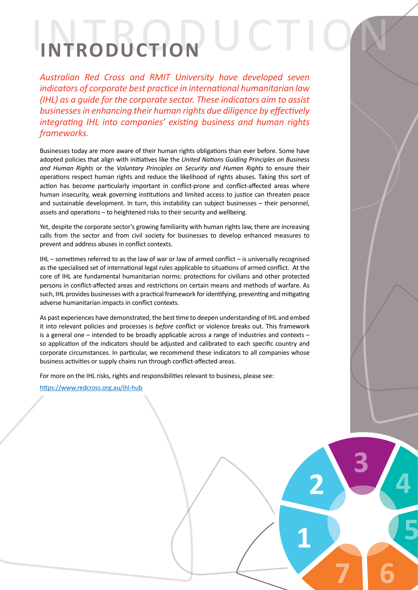# INTRODUCTION **INTRODUCTION** N

*Australian Red Cross and RMIT University have developed seven indicators of corporate best practice in international humanitarian law (IHL) as a guide for the corporate sector. These indicators aim to assist businesses in enhancing their human rights due diligence by effectively integrating IHL into companies' existing business and human rights frameworks.*

Businesses today are more aware of their human rights obligations than ever before. Some have adopted policies that align with initiatives like the *United Nations Guiding Principles on Business and Human Rights* or the *Voluntary Principles on Security and Human Rights* to ensure their operations respect human rights and reduce the likelihood of rights abuses. Taking this sort of action has become particularly important in conflict-prone and conflict-affected areas where human insecurity, weak governing institutions and limited access to justice can threaten peace and sustainable development. In turn, this instability can subject businesses – their personnel, assets and operations – to heightened risks to their security and wellbeing.

Yet, despite the corporate sector's growing familiarity with human rights law, there are increasing calls from the sector and from civil society for businesses to develop enhanced measures to prevent and address abuses in conflict contexts.

IHL – sometimes referred to as the law of war or law of armed conflict – is universally recognised as the specialised set of international legal rules applicable to situations of armed conflict. At the core of IHL are fundamental humanitarian norms: protections for civilians and other protected persons in conflict-affected areas and restrictions on certain means and methods of warfare. As such, IHL provides businesses with a practical framework for identifying, preventing and mitigating adverse humanitarian impacts in conflict contexts.

As past experiences have demonstrated, the best time to deepen understanding of IHL and embed it into relevant policies and processes is *before* conflict or violence breaks out. This framework is a general one – intended to be broadly applicable across a range of industries and contexts – so application of the indicators should be adjusted and calibrated to each specific country and corporate circumstances. In particular, we recommend these indicators to all companies whose business activities or supply chains run through conflict-affected areas.

**2**

**1**

**3**

**7 6**

**4**

**5**

For more on the IHL risks, rights and responsibilities relevant to business, please see:

https://www.redcross.org.au/ihl-hub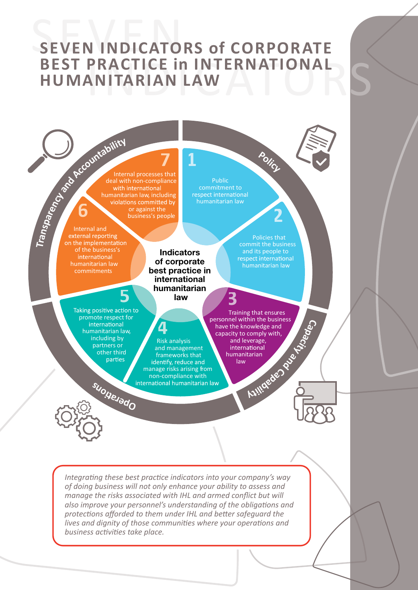# SEVEN INDICATORS of CORPORATE **BEST PRACTICE IN INTERNATIONAL SUMANITARIAN LAW HUMANITARIAN LAW**

**1**

Internal processes that deal with non-compliance<br>with international humanitarian law, including or against the business's people

The Countries of the Countries Internal and of the business's international humanitarian law commitments

**6**

**Indicators of corporate best practice in international humanitarian law**

and management frameworks that

non-compliance with<br>international humanitarian law

Public commitment to<br>respect international

> Policies that commit the business and its people to<br>respect international humanitarian law

**2**

**7 <sup>P</sup>olic<sup>y</sup>**

promote respect for international humanitarian law, including by partners or other third parties

**<sup>p</sup><sup>O</sup> <sup>r</sup> <sup>e</sup> <sup>a</sup> <sup>o</sup>n<sup>s</sup>**

**5**



Training that ensures personnel within the business have the knowledge and capacity to comply with, and leverage,<br>international humanitarian law identify, reduce and<br>manage risks arising from **Capacity and Capabil ti y**

**3**

*Integrating these best practice indicators into your company's way of doing business will not only enhance your ability to assess and manage the risks associated with IHL and armed conflict but will also improve your personnel's understanding of the obligations and protections afforded to them under IHL and better safeguard the lives and dignity of those communities where your operations and business activities take place.*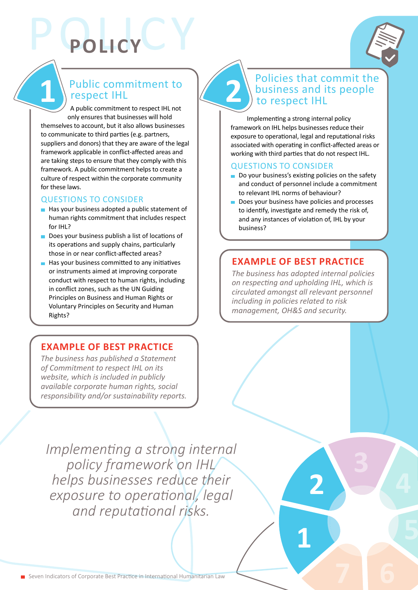

# **2** Public commitment to **1** respect IHL

POLICY **POLICY**

A public commitment to respect IHL not only ensures that businesses will hold themselves to account, but it also allows businesses to communicate to third parties (e.g. partners, suppliers and donors) that they are aware of the legal framework applicable in conflict-affected areas and are taking steps to ensure that they comply with this framework. A public commitment helps to create a culture of respect within the corporate community for these laws.

#### QUESTIONS TO CONSIDER

- Has your business adopted a public statement of human rights commitment that includes respect for IHL?
- Does your business publish a list of locations of its operations and supply chains, particularly those in or near conflict-affected areas?
- $\blacksquare$  Has your business committed to any initiatives or instruments aimed at improving corporate conduct with respect to human rights, including in conflict zones, such as the UN Guiding Principles on Business and Human Rights or Voluntary Principles on Security and Human Rights?

### **EXAMPLE OF BEST PRACTICE**

*The business has published a Statement of Commitment to respect IHL on its website, which is included in publicly available corporate human rights, social responsibility and/or sustainability reports.*

# Policies that commit the business and its people to respect IHL

Implementing a strong internal policy framework on IHL helps businesses reduce their exposure to operational, legal and reputational risks associated with operating in conflict-affected areas or working with third parties that do not respect IHL.

#### QUESTIONS TO CONSIDER

- Do your business's existing policies on the safety and conduct of personnel include a commitment to relevant IHL norms of behaviour?
- Does your business have policies and processes to identify, investigate and remedy the risk of, and any instances of violation of, IHL by your business?

### **EXAMPLE OF BEST PRACTICE**

*The business has adopted internal policies on respecting and upholding IHL, which is circulated amongst all relevant personnel including in policies related to risk management, OH&S and security.*

**2**

**1**

*Implementing a strong internal policy framework on IHL helps businesses reduce their exposure to operational, legal and reputational risks.*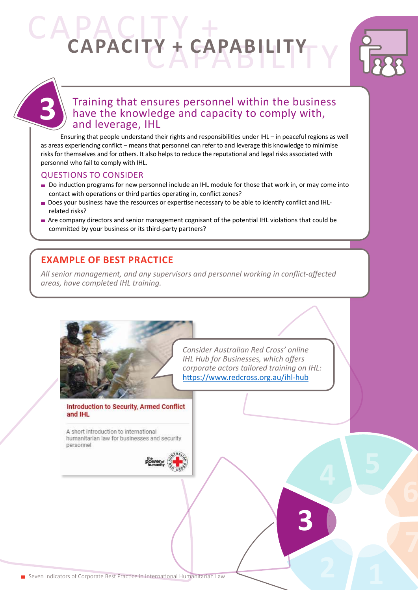# CAPACITY + CAPABILITY **CAPACITY + CAPABILITY**



# Training that ensures personnel within the business have the knowledge and capacity to comply with, and leverage, IHL

Ensuring that people understand their rights and responsibilities under IHL – in peaceful regions as well as areas experiencing conflict – means that personnel can refer to and leverage this knowledge to minimise risks for themselves and for others. It also helps to reduce the reputational and legal risks associated with personnel who fail to comply with IHL.

#### QUESTIONS TO CONSIDER

- Do induction programs for new personnel include an IHL module for those that work in, or may come into contact with operations or third parties operating in, conflict zones?
- Does your business have the resources or expertise necessary to be able to identify conflict and IHLrelated risks?
- Are company directors and senior management cognisant of the potential IHL violations that could be committed by your business or its third-party partners?

## **EXAMPLE OF BEST PRACTICE**

*All senior management, and any supervisors and personnel working in conflict-affected areas, have completed IHL training.* 

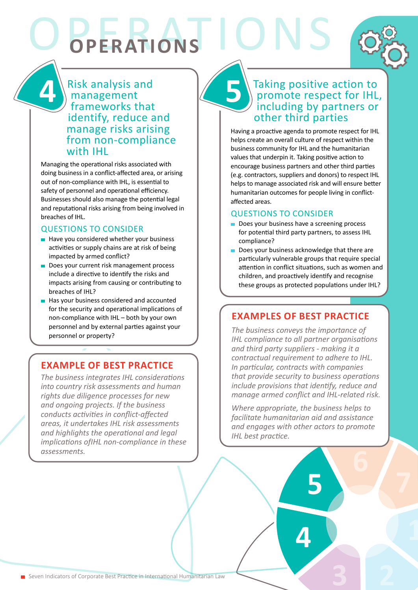OPERATIONS **OPERATIONS**

**5** Risk analysis and management frameworks that identify, reduce and manage risks arising from non-compliance with IHL

Managing the operational risks associated with doing business in a conflict-affected area, or arising out of non-compliance with IHL, is essential to safety of personnel and operational efficiency. Businesses should also manage the potential legal and reputational risks arising from being involved in breaches of IHL.

#### QUESTIONS TO CONSIDER

**4**

- $\blacksquare$  Have you considered whether your business activities or supply chains are at risk of being impacted by armed conflict?
- Does your current risk management process include a directive to identify the risks and impacts arising from causing or contributing to breaches of IHL?
- Has your business considered and accounted for the security and operational implications of non-compliance with IHL – both by your own personnel and by external parties against your personnel or property?

# **EXAMPLE OF BEST PRACTICE**

*The business integrates IHL considerations into country risk assessments and human rights due diligence processes for new and ongoing projects. If the business conducts activities in conflict-affected areas, it undertakes IHL risk assessments and highlights the operational and legal implications ofIHL non-compliance in these assessments.*

## Taking positive action to promote respect for IHL, including by partners or other third parties

Having a proactive agenda to promote respect for IHL helps create an overall culture of respect within the business community for IHL and the humanitarian values that underpin it. Taking positive action to encourage business partners and other third parties (e.g. contractors, suppliers and donors) to respect IHL helps to manage associated risk and will ensure better humanitarian outcomes for people living in conflictaffected areas.

#### QUESTIONS TO CONSIDER

- Does your business have a screening process for potential third party partners, to assess IHL compliance?
- Does your business acknowledge that there are particularly vulnerable groups that require special attention in conflict situations, such as women and children, and proactively identify and recognise these groups as protected populations under IHL?

# **EXAMPLES OF BEST PRACTICE**

*The business conveys the importance of IHL compliance to all partner organisations and third party suppliers - making it a contractual requirement to adhere to IHL. In particular, contracts with companies that provide security to business operations include provisions that identify, reduce and manage armed conflict and IHL-related risk.*

*Where appropriate, the business helps to facilitate humanitarian aid and assistance and engages with other actors to promote IHL best practice.*

**5**

**4**

**3 2**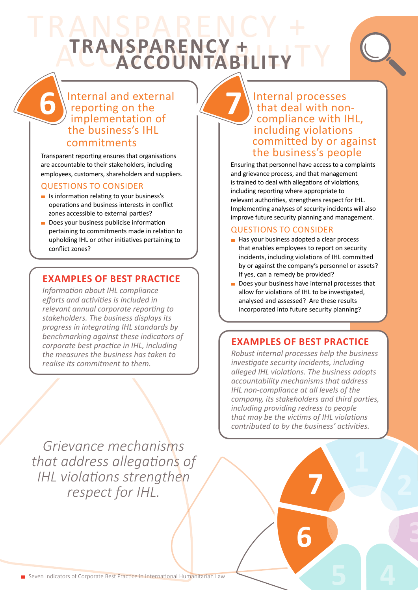# TRANSPARENCY + **ATRANSPARENCY + ILLY TY TRANSPARENCY +**

# Internal and external reporting on the implementation of the business's IHL

#### commitments

**6**

Transparent reporting ensures that organisations are accountable to their stakeholders, including employees, customers, shareholders and suppliers.

#### QUESTIONS TO CONSIDER

- $\blacksquare$  Is information relating to your business's operations and business interests in conflict zones accessible to external parties?
- Does your business publicise information pertaining to commitments made in relation to upholding IHL or other initiatives pertaining to conflict zones?

#### **EXAMPLES OF BEST PRACTICE**

*Information about IHL compliance efforts and activities is included in relevant annual corporate reporting to stakeholders. The business displays its progress in integrating IHL standards by benchmarking against these indicators of corporate best practice in IHL, including the measures the business has taken to realise its commitment to them.* 

*Grievance mechanisms that address allegations of IHL violations strengthen respect for IHL.*

## Internal processes that deal with noncompliance with IHL, including violations committed by or against the business's people

Ensuring that personnel have access to a complaints and grievance process, and that management is trained to deal with allegations of violations, including reporting where appropriate to relevant authorities, strengthens respect for IHL. Implementing analyses of security incidents will also improve future security planning and management.

#### QUESTIONS TO CONSIDER

**7**

- Has your business adopted a clear process that enables employees to report on security incidents, including violations of IHL committed by or against the company's personnel or assets? If yes, can a remedy be provided?
- Does your business have internal processes that allow for violations of IHL to be investigated, analysed and assessed? Are these results incorporated into future security planning?

### **EXAMPLES OF BEST PRACTICE**

*Robust internal processes help the business investigate security incidents, including alleged IHL violations. The business adopts accountability mechanisms that address IHL non-compliance at all levels of the company, its stakeholders and third parties, including providing redress to people that may be the victims of IHL violations contributed to by the business' activities.*

**7**

**6**